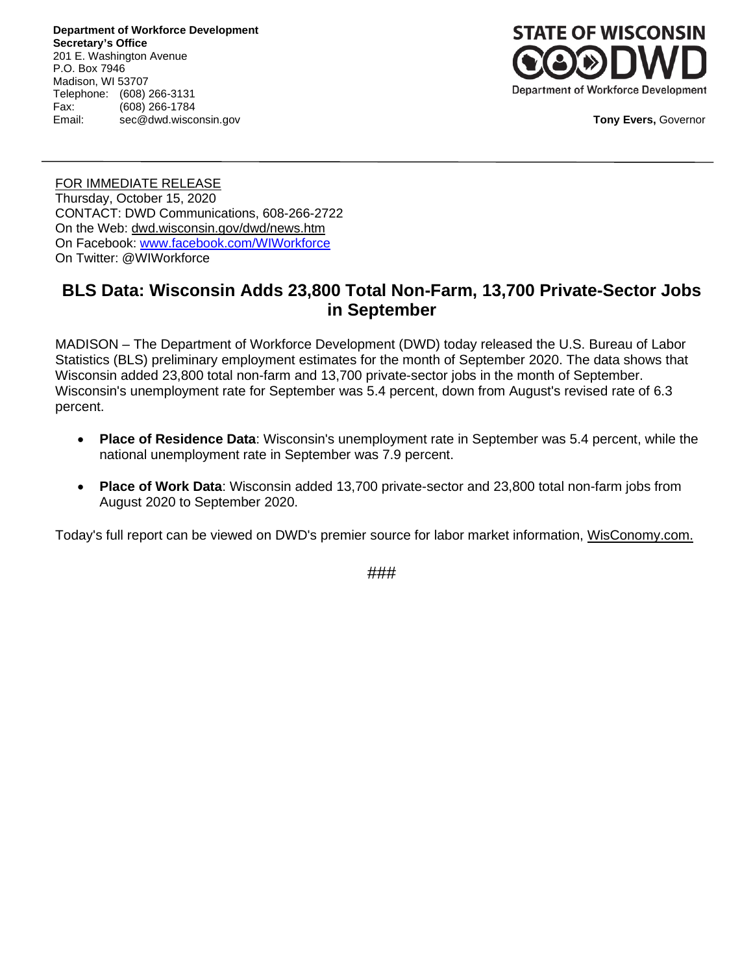**Department of Workforce Development Secretary's Office** 201 E. Washington Avenue P.O. Box 7946 Madison, WI 53707 Telephone: (608) 266-3131<br>Fax: (608) 266-1784 (608) 266-1784 Email: sec@dwd.wisconsin.gov



**Tony Evers,** Governor

FOR IMMEDIATE RELEASE Thursday, October 15, 2020 CONTACT: DWD Communications, 608-266-2722 On the Web: [dwd.wisconsin.gov/dwd/news.htm](http://dwd.wisconsin.gov/dwd/news.htm) On Facebook: [www.facebook.com/WIWorkforce](http://www.facebook.com/WIWorkforce) On Twitter: @WIWorkforce

# **BLS Data: Wisconsin Adds 23,800 Total Non-Farm, 13,700 Private-Sector Jobs in September**

MADISON – The Department of Workforce Development (DWD) today released the U.S. Bureau of Labor Statistics (BLS) preliminary employment estimates for the month of September 2020. The data shows that Wisconsin added 23,800 total non-farm and 13,700 private-sector jobs in the month of September. Wisconsin's unemployment rate for September was 5.4 percent, down from August's revised rate of 6.3 percent.

- **Place of Residence Data**: Wisconsin's unemployment rate in September was 5.4 percent, while the national unemployment rate in September was 7.9 percent.
- **Place of Work Data**: Wisconsin added 13,700 private-sector and 23,800 total non-farm jobs from August 2020 to September 2020.

Today's full report can be viewed on DWD's premier source for labor market information, [WisConomy.com.](https://www.jobcenterofwisconsin.com/wisconomy/)

###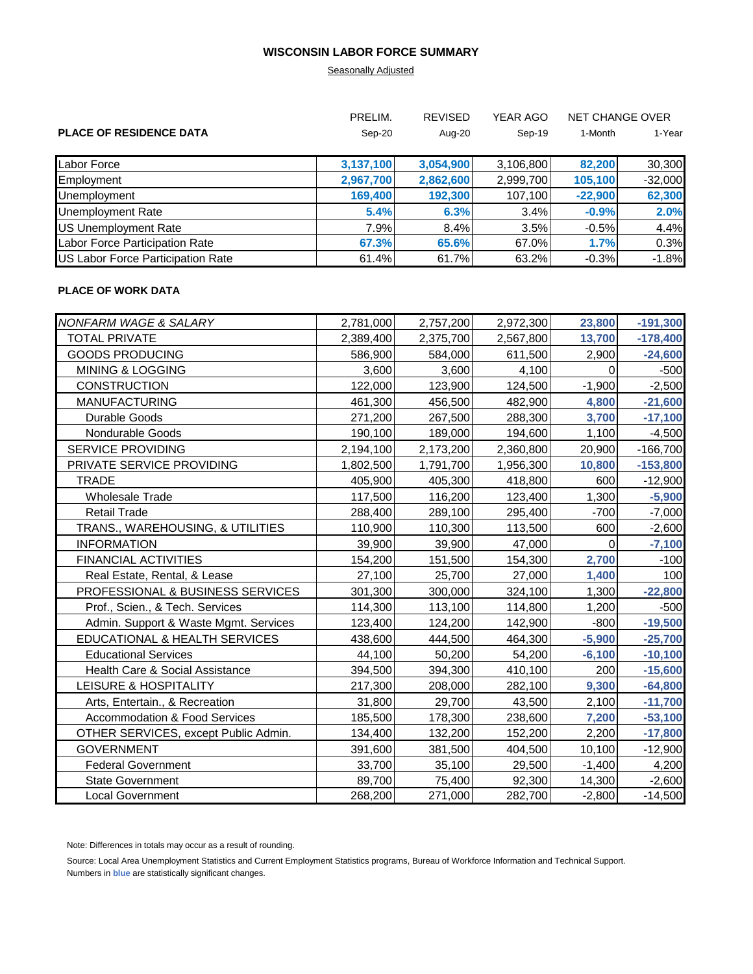### **WISCONSIN LABOR FORCE SUMMARY**

# **Seasonally Adjusted**

|                                   | PRELIM.   | <b>REVISED</b> | YEAR AGO  | <b>NET CHANGE OVER</b> |           |
|-----------------------------------|-----------|----------------|-----------|------------------------|-----------|
| <b>PLACE OF RESIDENCE DATA</b>    | Sep-20    | Aug-20         | Sep-19    | 1-Month                | 1-Year    |
| <b>Labor Force</b>                | 3,137,100 | 3,054,900      | 3,106,800 | 82,200                 | 30,300    |
| Employment                        | 2,967,700 | 2,862,600      | 2,999,700 | 105,100                | $-32,000$ |
| Unemployment                      | 169,400   | 192,300        | 107,100   | $-22,900$              | 62,300    |
| Unemployment Rate                 | 5.4%      | 6.3%           | 3.4%      | $-0.9%$                | 2.0%      |
| US Unemployment Rate              | 7.9%      | 8.4%           | 3.5%      | $-0.5%$                | 4.4%      |
| Labor Force Participation Rate    | 67.3%     | 65.6%          | 67.0%     | 1.7%                   | 0.3%      |
| US Labor Force Participation Rate | 61.4%     | 61.7%          | 63.2%     | $-0.3%$                | $-1.8%$   |

## **PLACE OF WORK DATA**

| NONFARM WAGE & SALARY                    | 2,781,000 | 2,757,200 | 2,972,300 | 23,800   | $-191,300$ |
|------------------------------------------|-----------|-----------|-----------|----------|------------|
| TOTAL PRIVATE                            | 2,389,400 | 2,375,700 | 2,567,800 | 13,700   | $-178,400$ |
| <b>GOODS PRODUCING</b>                   | 586,900   | 584,000   | 611,500   | 2,900    | $-24,600$  |
| <b>MINING &amp; LOGGING</b>              | 3,600     | 3,600     | 4,100     | 0        | $-500$     |
| <b>CONSTRUCTION</b>                      | 122,000   | 123,900   | 124,500   | $-1,900$ | $-2,500$   |
| <b>MANUFACTURING</b>                     | 461,300   | 456,500   | 482,900   | 4,800    | $-21,600$  |
| Durable Goods                            | 271,200   | 267,500   | 288,300   | 3,700    | $-17,100$  |
| Nondurable Goods                         | 190,100   | 189,000   | 194,600   | 1,100    | $-4,500$   |
| <b>SERVICE PROVIDING</b>                 | 2,194,100 | 2,173,200 | 2,360,800 | 20,900   | $-166,700$ |
| PRIVATE SERVICE PROVIDING                | 1,802,500 | 1,791,700 | 1,956,300 | 10,800   | $-153,800$ |
| <b>TRADE</b>                             | 405,900   | 405,300   | 418,800   | 600      | $-12,900$  |
| <b>Wholesale Trade</b>                   | 117,500   | 116,200   | 123,400   | 1,300    | $-5,900$   |
| <b>Retail Trade</b>                      | 288,400   | 289,100   | 295,400   | $-700$   | $-7,000$   |
| TRANS., WAREHOUSING, & UTILITIES         | 110,900   | 110,300   | 113,500   | 600      | $-2,600$   |
| <b>INFORMATION</b>                       | 39,900    | 39,900    | 47,000    | 0        | $-7,100$   |
| <b>FINANCIAL ACTIVITIES</b>              | 154,200   | 151,500   | 154,300   | 2,700    | $-100$     |
| Real Estate, Rental, & Lease             | 27,100    | 25,700    | 27,000    | 1,400    | 100        |
| PROFESSIONAL & BUSINESS SERVICES         | 301,300   | 300,000   | 324,100   | 1,300    | $-22,800$  |
| Prof., Scien., & Tech. Services          | 114,300   | 113,100   | 114,800   | 1,200    | $-500$     |
| Admin. Support & Waste Mgmt. Services    | 123,400   | 124,200   | 142,900   | $-800$   | $-19,500$  |
| EDUCATIONAL & HEALTH SERVICES            | 438,600   | 444,500   | 464,300   | $-5,900$ | $-25,700$  |
| <b>Educational Services</b>              | 44,100    | 50,200    | 54,200    | $-6,100$ | $-10,100$  |
| Health Care & Social Assistance          | 394,500   | 394,300   | 410,100   | 200      | $-15,600$  |
| LEISURE & HOSPITALITY                    | 217,300   | 208,000   | 282,100   | 9,300    | $-64,800$  |
| Arts, Entertain., & Recreation           | 31,800    | 29,700    | 43,500    | 2,100    | $-11,700$  |
| <b>Accommodation &amp; Food Services</b> | 185,500   | 178,300   | 238,600   | 7,200    | $-53,100$  |
| OTHER SERVICES, except Public Admin.     | 134,400   | 132,200   | 152,200   | 2,200    | $-17,800$  |
| <b>GOVERNMENT</b>                        | 391,600   | 381,500   | 404,500   | 10,100   | $-12,900$  |
| <b>Federal Government</b>                | 33,700    | 35,100    | 29,500    | $-1,400$ | 4,200      |
| <b>State Government</b>                  | 89,700    | 75,400    | 92,300    | 14,300   | $-2,600$   |
| <b>Local Government</b>                  | 268,200   | 271,000   | 282,700   | $-2,800$ | $-14,500$  |

Note: Differences in totals may occur as a result of rounding.

Source: Local Area Unemployment Statistics and Current Employment Statistics programs, Bureau of Workforce Information and Technical Support. Numbers in **blue** are statistically significant changes.